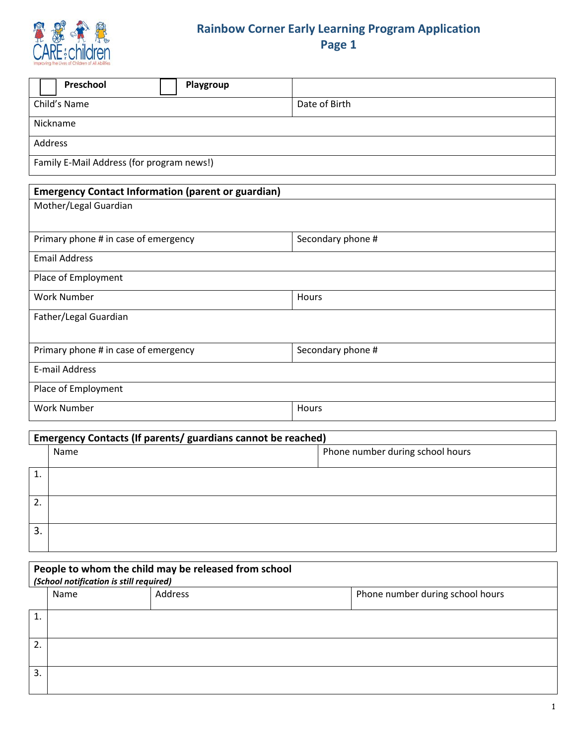

## **Rainbow Corner Early Learning Program Application Page 1**

|                                                           | Preschool            |  | Playgroup |                   |  |  |  |
|-----------------------------------------------------------|----------------------|--|-----------|-------------------|--|--|--|
| Child's Name                                              |                      |  |           | Date of Birth     |  |  |  |
|                                                           | Nickname             |  |           |                   |  |  |  |
| <b>Address</b>                                            |                      |  |           |                   |  |  |  |
| Family E-Mail Address (for program news!)                 |                      |  |           |                   |  |  |  |
| <b>Emergency Contact Information (parent or guardian)</b> |                      |  |           |                   |  |  |  |
| Mother/Legal Guardian                                     |                      |  |           |                   |  |  |  |
|                                                           |                      |  |           |                   |  |  |  |
| Primary phone # in case of emergency                      |                      |  |           | Secondary phone # |  |  |  |
|                                                           | <b>Email Address</b> |  |           |                   |  |  |  |
|                                                           | Place of Employment  |  |           |                   |  |  |  |
| <b>Work Number</b>                                        |                      |  |           | Hours             |  |  |  |
| Father/Legal Guardian                                     |                      |  |           |                   |  |  |  |
|                                                           |                      |  |           |                   |  |  |  |
| Primary phone # in case of emergency                      |                      |  |           | Secondary phone # |  |  |  |
| <b>E-mail Address</b>                                     |                      |  |           |                   |  |  |  |
| Place of Employment                                       |                      |  |           |                   |  |  |  |
|                                                           | <b>Work Number</b>   |  |           | Hours             |  |  |  |
|                                                           |                      |  |           |                   |  |  |  |

| Emergency Contacts (If parents/ guardians cannot be reached) |      |                                  |  |  |  |  |
|--------------------------------------------------------------|------|----------------------------------|--|--|--|--|
|                                                              | Name | Phone number during school hours |  |  |  |  |
|                                                              |      |                                  |  |  |  |  |
|                                                              |      |                                  |  |  |  |  |
|                                                              |      |                                  |  |  |  |  |
| 3.                                                           |      |                                  |  |  |  |  |
|                                                              |      |                                  |  |  |  |  |

| People to whom the child may be released from school<br>(School notification is still required) |      |         |                                  |  |  |  |  |  |  |
|-------------------------------------------------------------------------------------------------|------|---------|----------------------------------|--|--|--|--|--|--|
|                                                                                                 | Name | Address | Phone number during school hours |  |  |  |  |  |  |
| 1.                                                                                              |      |         |                                  |  |  |  |  |  |  |
| 2.                                                                                              |      |         |                                  |  |  |  |  |  |  |
| 3.                                                                                              |      |         |                                  |  |  |  |  |  |  |